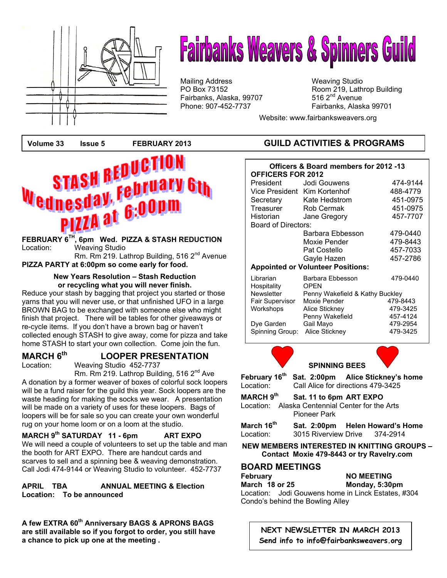

# **Fairbanks Weavers & Spinners Guild**

Mailing Address Mailing Studio<br>
PO Box 73152 May 19, Lath Fairbanks, Alaska, 99707

Room 219, Lathrop Building 516  $2<sup>nd</sup>$  Avenue Phone: 907-452-7737 Fairbanks, Alaska 99701

Website: www.fairbanksweavers.org



### Location: Weaving Studio Rm. Rm 219. Lathrop Building, 516 2<sup>nd</sup> Avenue

**PIZZA PARTY at 6:00pm so come early for food.** 

#### **New Years Resolution – Stash Reduction or recycling what you will never finish.**

Reduce your stash by bagging that project you started or those yarns that you will never use, or that unfinished UFO in a large BROWN BAG to be exchanged with someone else who might finish that project. There will be tables for other giveaways or re-cycle items. If you don't have a brown bag or haven't collected enough STASH to give away, come for pizza and take home STASH to start your own collection. Come join the fun.

# **MARCH 6<sup>th</sup> LOOPER PRESENTATION**<br>Location: Weaving Studio 452-7737

Weaving Studio 452-7737

Rm. Rm 219. Lathrop Building, 516 2<sup>nd</sup> Ave A donation by a former weaver of boxes of colorful sock loopers will be a fund raiser for the guild this year. Sock loopers are the waste heading for making the socks we wear. A presentation will be made on a variety of uses for these loopers. Bags of loopers will be for sale so you can create your own wonderful rug on your home loom or on a loom at the studio.

 **MARCH 9th SATURDAY 11 - 6pm ART EXPO**  We will need a couple of volunteers to set up the table and man the booth for ART EXPO. There are handcut cards and scarves to sell and a spinning bee & weaving demonstration. Call Jodi 474-9144 or Weaving Studio to volunteer. 452-7737

**APRIL TBA ANNUAL MEETING & Election Location: To be announced** 

**A few EXTRA 60th Anniversary BAGS & APRONS BAGS are still available so if you forgot to order, you still have a chance to pick up one at the meeting .** 

#### **Volume 33 Issue 5 FEBRUARY 2013 GUILD ACTIVITIES & PROGRAMS**

| Officers & Board members for 2012 -13<br><b>OFFICERS FOR 2012</b> |                                 |                      |  |  |  |
|-------------------------------------------------------------------|---------------------------------|----------------------|--|--|--|
| President                                                         | Jodi Gouwens                    | 474-9144             |  |  |  |
| Vice President Kim Kortenhof                                      |                                 | 488-4779             |  |  |  |
| Secretary                                                         | Kate Hedstrom                   | 451-0975             |  |  |  |
| Treasurer                                                         | Rob Cermak                      | 451-0975             |  |  |  |
| Historian                                                         | Jane Gregory                    | 457-7707             |  |  |  |
| Board of Directors:                                               |                                 |                      |  |  |  |
|                                                                   | Barbara Ebbesson                | 479-0440             |  |  |  |
|                                                                   | Moxie Pender                    | 479-8443             |  |  |  |
|                                                                   | Pat Costello                    | 457-7033             |  |  |  |
|                                                                   | Gayle Hazen                     | 457-2786             |  |  |  |
| <b>Appointed or Volunteer Positions:</b>                          |                                 |                      |  |  |  |
| Librarian<br>Hospitality                                          | Barbara Ebbesson<br><b>OPEN</b> | 479-0440             |  |  |  |
| <b>Newsletter</b><br>Penny Wakefield & Kathy Buckley              |                                 |                      |  |  |  |
| Fair Supervisor                                                   | Moxie Pender                    | 479-8443             |  |  |  |
| Workshops                                                         | Alice Stickney                  | 479-3425             |  |  |  |
|                                                                   | Penny Wakefield                 | 457-4124             |  |  |  |
| Dye Garden<br>Spinning Group:                                     | Gail Mayo                       | 479-2954<br>479-3425 |  |  |  |
|                                                                   | Alice Stickney                  |                      |  |  |  |



| February 16 <sup>th</sup>                                              |                                    | Sat. 2:00pm Alice Stickney's home |  |
|------------------------------------------------------------------------|------------------------------------|-----------------------------------|--|
| Location:                                                              | Call Alice for directions 479-3425 |                                   |  |
| MARCH 9th                                                              | Sat. 11 to 6pm ART EXPO            |                                   |  |
| Location: Alaska Centennial Center for the Arts<br><b>Pioneer Park</b> |                                    |                                   |  |
| March 16 <sup>th</sup>                                                 |                                    | Sat. 2:00pm Helen Howard's Home   |  |
| Location:                                                              |                                    | 3015 Riverview Drive 374-2914     |  |

**NEW MEMBERS INTERESTED IN KNITTING GROUPS – Contact Moxie 479-8443 or try Ravelry.com**

#### **BOARD MEETINGS**

**February 6 NO MEETING March 18 or 25 Monday, 5:30pm**  Location: Jodi Gouwens home in Linck Estates, #304 Condo's behind the Bowling Alley

> **NEXT NEWSLETTER IN MARCH 2013 Send info to info@fairbanksweavers.org**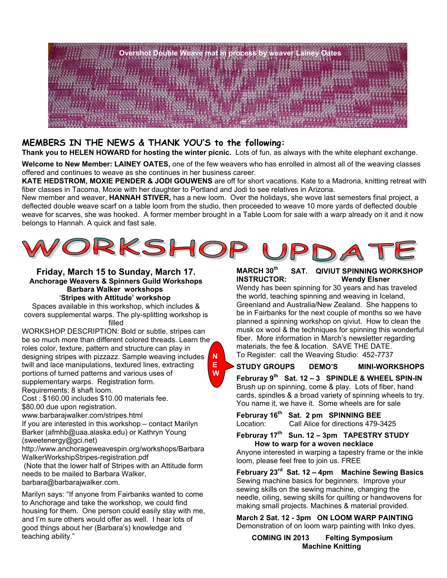

#### **MEMBERS IN THE NEWS & THANK YOU'S to the following:**

**Thank you to HELEN HOWARD for hosting the winter picnic.** Lots of fun, as always with the white elephant exchange.

**Welcome to New Member: LAINEY OATES,** one of the few weavers who has enrolled in almost all of the weaving classes offered and continues to weave as she continues in her business career.

**KATE HEDSTROM, MOXIE PENDER & JODI GOUWENS** are off for short vacations. Kate to a Madrona, knitting retreat with fiber classes in Tacoma, Moxie with her daughter to Portland and Jodi to see relatives in Arizona.

New member and weaver, **HANNAH STIVER,** has a new loom. Over the holidays, she wove last semesters final project, a deflected double weave scarf on a table loom from the studio, then proceeded to weave 10 more yards of deflected double weave for scarves, she was hooked. A former member brought in a Table Loom for sale with a warp already on it and it now belongs to Hannah. A quick and fast sale.



**Friday, March 15 to Sunday, March 17. Anchorage Weavers & Spinners Guild Workshops Barbara Walker workshops** '**Stripes with Attitude' workshop**

Spaces available in this workshop, which includes & covers supplemental warps. The ply-splitting workshop is filled

WORKSHOP DESCRIPTION: Bold or subtle, stripes can be so much more than different colored threads. Learn the roles color, texture, pattern and structure can play in designing stripes with pizzazz. Sample weaving includes twill and lace manipulations, textured lines, extracting portions of turned patterns and various uses of supplementary warps. Registration form. Requirements: 8 shaft loom. **N E W**

Cost : \$160.00 includes \$10.00 materials fee. \$80.00 due upon registration.

www.barbarajwalker.com/stripes.html

If you are interested in this workshop – contact Marilyn Barker (afmhb@uaa.alaska.edu) or Kathryn Young (sweetenergy@gci.net)

http://www.anchorageweavespin.org/workshops/Barbara WalkerWorkshipStripes-registration.pdf

 (Note that the lower half of Stripes with an Attitude form needs to be mailed to Barbara Walker, barbara@barbarajwalker.com.

Marilyn says: "If anyone from Fairbanks wanted to come to Anchorage and take the workshop, we could find housing for them. One person could easily stay with me, and I'm sure others would offer as well. I hear lots of good things about her (Barbara's) knowledge and teaching ability."

#### **MARCH 30th SAT. QIVIUT SPINNING WORKSHOP INSTRUCTOR: Wendy Elsner**

Wendy has been spinning for 30 years and has traveled the world, teaching spinning and weaving in Iceland, Greenland and Australia/New Zealand. She happens to be in Fairbanks for the next couple of months so we have planned a spinning workshop on qiviut. How to clean the musk ox wool & the techniques for spinning this wonderful fiber. More information in March's newsletter regarding materials, the fee & location. SAVE THE DATE. To Register: call the Weaving Studio: 452-7737

**STUDY GROUPS DEMO'S MINI-WORKSHOPS** 

**Februray 9th Sat. 12 – 3 SPINDLE & WHEEL SPIN-IN** Brush up on spinning, come & play. Lots of fiber, hand cards, spindles & a broad variety of spinning wheels to try. You name it, we have it. Some wheels are for sale

**Februray 16th Sat. 2 pm SPINNING BEE**  Location: Call Alice for directions 479-3425

**Februray 17th Sun. 12 – 3pm TAPESTRY STUDY How to warp for a woven necklace** 

Anyone interested in warping a tapestry frame or the inkle loom, please feel free to join us. FREE

**February 23rd Sat. 12 – 4pm Machine Sewing Basics**  Sewing machine basics for beginners. Improve your sewing skills on the sewing machine, changing the needle, oiling, sewing skills for quilting or handwovens for making small projects. Machines & material provided.

**March 2 Sat. 12 - 3pm ON LOOM WARP PAINTING**  Demonstration of on loom warp painting with Inko dyes.

**COMING IN 2013 Felting Symposium Machine Knitting**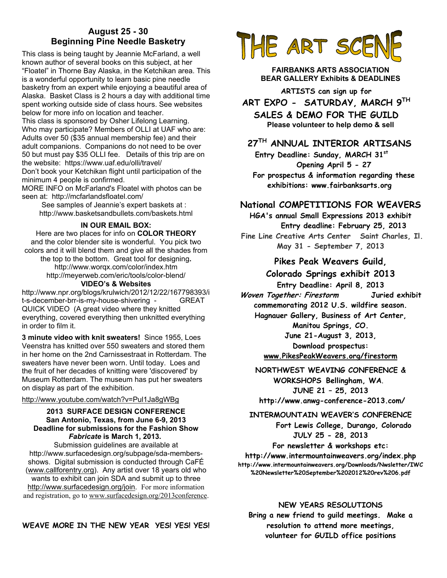#### **August 25 - 30 Beginning Pine Needle Basketry**

This class is being taught by Jeannie McFarland, a well known author of several books on this subject, at her "Floatel" in Thorne Bay Alaska, in the Ketchikan area. This is a wonderful opportunity to learn basic pine needle basketry from an expert while enjoying a beautiful area of Alaska. Basket Class is 2 hours a day with additional time spent working outside side of class hours. See websites below for more info on location and teacher. This class is sponsored by Osher Lifelong Learning. Who may participate? Members of OLLI at UAF who are:

Adults over 50 (\$35 annual membership fee) and their adult companions. Companions do not need to be over 50 but must pay \$35 OLLI fee. Details of this trip are on the website: https://www.uaf.edu/olli/travel/ Don't book your Ketchikan flight until participation of the minimum 4 people is confirmed.

MORE INFO on McFarland's Floatel with photos can be seen at: http://mcfarlandsfloatel.com/

See samples of Jeannie's expert baskets at : http://www.basketsandbullets.com/baskets.html

#### **IN OUR EMAIL BOX:**

Here are two places for info on **COLOR THEORY** and the color blender site is wonderful. You pick two colors and it will blend them and give all the shades from the top to the bottom. Great tool for designing**.**  http://www.worqx.com/color/index.htm http://meyerweb.com/eric/tools/color-blend/ **VIDEO's & Websites** 

http://www.npr.org/blogs/krulwich/2012/12/22/167798393/i t-s-december-brr-is-my-house-shivering - GREAT QUICK VIDEO (A great video where they knitted everything, covered everything then unknitted everything in order to film it.

**3 minute video with knit sweaters!** Since 1955, Loes Veenstra has knitted over 550 sweaters and stored them in her home on the 2nd Carnissestraat in Rotterdam. The sweaters have never been worn. Until today. Loes and the fruit of her decades of knitting were 'discovered' by Museum Rotterdam. The museum has put her sweaters on display as part of the exhibition.

#### http://www.youtube.com/watch?v=Pul1Ja8gWBg

#### **2013 SURFACE DESIGN CONFERENCE San Antonio, Texas, from June 6-9, 2013 Deadline for submissions for the Fashion Show**  *Fabricate* **is March 1, 2013.**

Submission guidelines are available at http://www.surfacedesign.org/subpage/sda-membersshows. Digital submission is conducted through CaFÉ (www.callforentry.org). Any artist over 18 years old who wants to exhibit can join SDA and submit up to three http://www.surfacedesign.org/join. For more information and registration, go to www.surfacedesign.org/2013conference.





**FAIRBANKS ARTS ASSOCIATION BEAR GALLERY Exhibits & DEADLINES** 

**ARTISTS can sign up for ART EXPO - SATURDAY, MARCH 9TH**

**SALES & DEMO FOR THE GUILD Please volunteer to help demo & sell**

#### **27TH ANNUAL INTERIOR ARTISANS**

 **Entry Deadline: Sunday, MARCH 31st Opening April 5 - 27 For prospectus & information regarding these exhibitions: www.fairbanksarts.org** 

#### **National COMPETITIONS FOR WEAVERS**

**HGA's annual Small Expressions 2013 exhibit Entry deadline: February 25, 2013 Fine Line Creative Arts Center Saint Charles, Il. May 31 - September 7, 2013** 

#### **Pikes Peak Weavers Guild,**

#### **Colorado Springs exhibit 2013**

**Entry Deadline: April 8, 2013 Woven Together: Firestorm Juried exhibit commemorating 2012 U.S. wildfire season. Hagnauer Gallery, Business of Art Center, Manitou Springs, CO. June 21-August 3, 2013, Download prospectus: www.PikesPeakWeavers.org/firestorm**

**NORTHWEST WEAVING CONFERENCE & WORKSHOPS Bellingham, WA**. **JUNE 21 – 25, 2013 http://www.anwg-conference-2013.com/** 

#### **INTERMOUNTAIN WEAVER'S CONFERENCE**

 **Fort Lewis College, Durango, Colorado JULY 25 - 28, 2013** 

**For newsletter & workshops etc:** 

**http://www.intermountainweavers.org/index.php http://www.intermountainweavers.org/Downloads/Nwsletter/IWC %20Newsletter%20September%202012%20rev%206.pdf** 

#### **NEW YEARS RESOLUTIONS**

**Bring a new friend to guild meetings. Make a resolution to attend more meetings, volunteer for GUILD office positions**